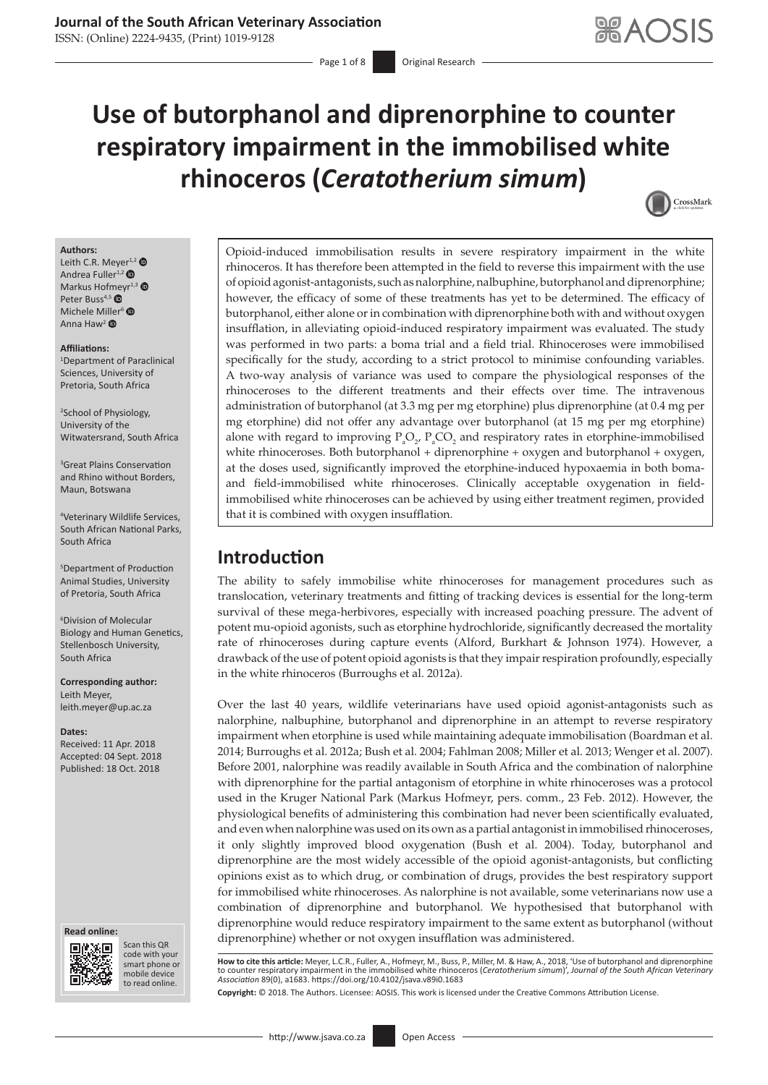ISSN: (Online) 2224-9435, (Print) 1019-9128

# **Use of butorphanol and diprenorphine to counter respiratory impairment in the immobilised white rhinoceros (***Ceratotherium simum***)**



#### **Authors:**

Leith C.R. Meyer<sup>1,[2](https://orcid.org/0000-0002-5122-2469)</sup> Andrea Fuller<sup>1,[2](https://orcid.org/0000-0001-6370-8151)</sup>  $\bullet$ Markus Hofmeyr<sup>1,[3](https://orcid.org/0000-0003-4473-3671)</sup> Peter Buss<sup>4,[5](https://orcid.org/0000-0001-5614-0975)</sup> Michele M[iller](https://orcid.org/0000-0002-5904-2753)<sup>[6](https://orcid.org/0000-0002-5883-6076)</sup> ® Anna Haw<sup>2</sup>  $\bullet$ 

#### **Affiliations:**

1 Department of Paraclinical Sciences, University of Pretoria, South Africa

2 School of Physiology, University of the Witwatersrand, South Africa

3 Great Plains Conservation and Rhino without Borders, Maun, Botswana

4 Veterinary Wildlife Services, South African National Parks, South Africa

5 Department of Production Animal Studies, University of Pretoria, South Africa

6 Division of Molecular Biology and Human Genetics, Stellenbosch University, South Africa

**Corresponding author:** Leith Meyer, [leith.meyer@up.ac.za](mailto:leith.meyer@up.ac.za)

**Dates:** Received: 11 Apr. 2018 Accepted: 04 Sept. 2018 Published: 18 Oct. 2018

#### **Read online: Read**



Scan this QR code with your Scan this QR<br>code with your<br>smart phone or<br>mobile device mobile device to read online. to read online.

Opioid-induced immobilisation results in severe respiratory impairment in the white rhinoceros. It has therefore been attempted in the field to reverse this impairment with the use of opioid agonist-antagonists, such as nalorphine, nalbuphine, butorphanol and diprenorphine; however, the efficacy of some of these treatments has yet to be determined. The efficacy of butorphanol, either alone or in combination with diprenorphine both with and without oxygen insufflation, in alleviating opioid-induced respiratory impairment was evaluated. The study was performed in two parts: a boma trial and a field trial. Rhinoceroses were immobilised specifically for the study, according to a strict protocol to minimise confounding variables. A two-way analysis of variance was used to compare the physiological responses of the rhinoceroses to the different treatments and their effects over time. The intravenous administration of butorphanol (at 3.3 mg per mg etorphine) plus diprenorphine (at 0.4 mg per mg etorphine) did not offer any advantage over butorphanol (at 15 mg per mg etorphine) alone with regard to improving  $P_aO_2$ ,  $P_aCO_2$  and respiratory rates in etorphine-immobilised white rhinoceroses. Both butorphanol + diprenorphine + oxygen and butorphanol + oxygen, at the doses used, significantly improved the etorphine-induced hypoxaemia in both bomaand field-immobilised white rhinoceroses. Clinically acceptable oxygenation in fieldimmobilised white rhinoceroses can be achieved by using either treatment regimen, provided that it is combined with oxygen insufflation.

# **Introduction**

The ability to safely immobilise white rhinoceroses for management procedures such as translocation, veterinary treatments and fitting of tracking devices is essential for the long-term survival of these mega-herbivores, especially with increased poaching pressure. The advent of potent mu-opioid agonists, such as etorphine hydrochloride, significantly decreased the mortality rate of rhinoceroses during capture events (Alford, Burkhart & Johnson 1974). However, a drawback of the use of potent opioid agonists is that they impair respiration profoundly, especially in the white rhinoceros (Burroughs et al. 2012a).

Over the last 40 years, wildlife veterinarians have used opioid agonist-antagonists such as nalorphine, nalbuphine, butorphanol and diprenorphine in an attempt to reverse respiratory impairment when etorphine is used while maintaining adequate immobilisation (Boardman et al. 2014; Burroughs et al. 2012a; Bush et al. 2004; Fahlman 2008; Miller et al. 2013; Wenger et al. 2007). Before 2001, nalorphine was readily available in South Africa and the combination of nalorphine with diprenorphine for the partial antagonism of etorphine in white rhinoceroses was a protocol used in the Kruger National Park (Markus Hofmeyr, pers. comm., 23 Feb. 2012). However, the physiological benefits of administering this combination had never been scientifically evaluated, and even when nalorphine was used on its own as a partial antagonist in immobilised rhinoceroses, it only slightly improved blood oxygenation (Bush et al. 2004). Today, butorphanol and diprenorphine are the most widely accessible of the opioid agonist-antagonists, but conflicting opinions exist as to which drug, or combination of drugs, provides the best respiratory support for immobilised white rhinoceroses. As nalorphine is not available, some veterinarians now use a combination of diprenorphine and butorphanol. We hypothesised that butorphanol with diprenorphine would reduce respiratory impairment to the same extent as butorphanol (without diprenorphine) whether or not oxygen insufflation was administered.

**How to cite this article:** Meyer, L.C.R., Fuller, A., Hofmeyr, M., Buss, P., Miller, M. & Haw, A., 2018, 'Use of butorphanol and diprenorphine to counter respiratory impairment in the immobilised white rhinoceros (*Ceratotherium simum*)', *Journal of the South African Veterinary Association* 89(0), a1683. <https://doi.org/10.4102/jsava.v89i0.1683>

**Copyright:** © 2018. The Authors. Licensee: AOSIS. This work is licensed under the Creative Commons Attribution License.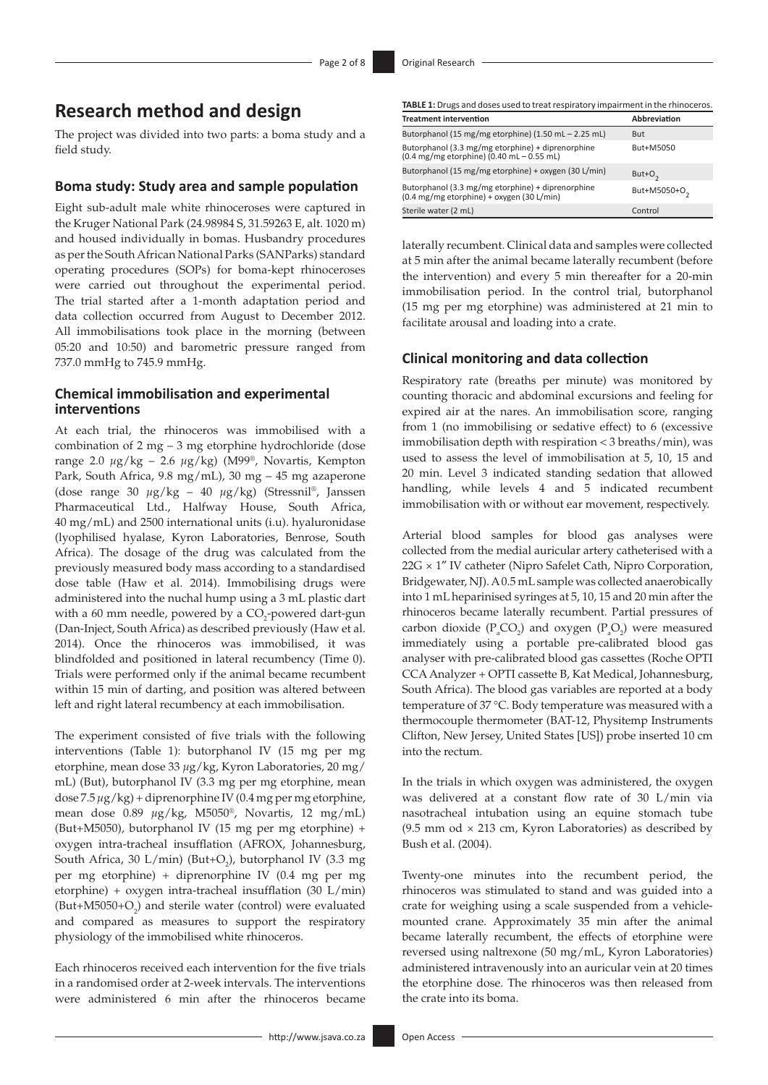# **Research method and design**

The project was divided into two parts: a boma study and a field study.

#### **Boma study: Study area and sample population**

Eight sub-adult male white rhinoceroses were captured in the Kruger National Park (24.98984 S, 31.59263 E, alt. 1020 m) and housed individually in bomas. Husbandry procedures as per the South African National Parks (SANParks) standard operating procedures (SOPs) for boma-kept rhinoceroses were carried out throughout the experimental period. The trial started after a 1-month adaptation period and data collection occurred from August to December 2012. All immobilisations took place in the morning (between 05:20 and 10:50) and barometric pressure ranged from 737.0 mmHg to 745.9 mmHg.

### **Chemical immobilisation and experimental interventions**

At each trial, the rhinoceros was immobilised with a combination of 2 mg – 3 mg etorphine hydrochloride (dose range 2.0 *µ*g/kg – 2.6 *µ*g/kg) (M99®, Novartis, Kempton Park, South Africa, 9.8 mg/mL), 30 mg – 45 mg azaperone (dose range 30 *µ*g/kg – 40 *µ*g/kg) (Stressnil®, Janssen Pharmaceutical Ltd., Halfway House, South Africa, 40 mg/mL) and 2500 international units (i.u). hyaluronidase (lyophilised hyalase, Kyron Laboratories, Benrose, South Africa). The dosage of the drug was calculated from the previously measured body mass according to a standardised dose table (Haw et al. 2014). Immobilising drugs were administered into the nuchal hump using a 3 mL plastic dart with a 60 mm needle, powered by a  $\mathrm{CO}_2$ -powered dart-gun (Dan-Inject, South Africa) as described previously (Haw et al. 2014). Once the rhinoceros was immobilised, it was blindfolded and positioned in lateral recumbency (Time 0). Trials were performed only if the animal became recumbent within 15 min of darting, and position was altered between left and right lateral recumbency at each immobilisation.

The experiment consisted of five trials with the following interventions (Table 1): butorphanol IV (15 mg per mg etorphine, mean dose 33 *µ*g/kg, Kyron Laboratories, 20 mg/ mL) (But), butorphanol IV (3.3 mg per mg etorphine, mean dose 7.5 *µ*g/kg) + diprenorphine IV (0.4 mg per mg etorphine, mean dose 0.89 *µ*g/kg, M5050®, Novartis, 12 mg/mL) (But+M5050), butorphanol IV (15 mg per mg etorphine) + oxygen intra-tracheal insufflation (AFROX, Johannesburg, South Africa, 30 L/min) (But+O<sub>2</sub>), butorphanol IV (3.3 mg per mg etorphine) + diprenorphine IV (0.4 mg per mg etorphine) + oxygen intra-tracheal insufflation (30 L/min)  $(But+M5050+O<sub>2</sub>)$  and sterile water (control) were evaluated and compared as measures to support the respiratory physiology of the immobilised white rhinoceros.

Each rhinoceros received each intervention for the five trials in a randomised order at 2-week intervals. The interventions were administered 6 min after the rhinoceros became

| <b>Treatment intervention</b>                                                                                            | Abbreviation             |
|--------------------------------------------------------------------------------------------------------------------------|--------------------------|
| Butorphanol (15 mg/mg etorphine) (1.50 mL - 2.25 mL)                                                                     | <b>But</b>               |
| Butorphanol (3.3 mg/mg etorphine) + diprenorphine<br>$(0.4 \text{ mg/mg etorphine}) (0.40 \text{ mL} - 0.55 \text{ mL})$ | But+M5050                |
| Butorphanol (15 mg/mg etorphine) + oxygen (30 L/min)                                                                     | $But+O2$                 |
| Butorphanol (3.3 mg/mg etorphine) + diprenorphine<br>$(0.4 \text{ mg/mg etorphine}) +$ oxygen $(30 \text{ L/min})$       | But+M5050+O <sub>2</sub> |
| Sterile water (2 mL)                                                                                                     | Control                  |

laterally recumbent. Clinical data and samples were collected at 5 min after the animal became laterally recumbent (before the intervention) and every 5 min thereafter for a 20-min immobilisation period. In the control trial, butorphanol (15 mg per mg etorphine) was administered at 21 min to facilitate arousal and loading into a crate.

### **Clinical monitoring and data collection**

Respiratory rate (breaths per minute) was monitored by counting thoracic and abdominal excursions and feeling for expired air at the nares. An immobilisation score, ranging from 1 (no immobilising or sedative effect) to 6 (excessive immobilisation depth with respiration < 3 breaths/min), was used to assess the level of immobilisation at 5, 10, 15 and 20 min. Level 3 indicated standing sedation that allowed handling, while levels 4 and 5 indicated recumbent immobilisation with or without ear movement, respectively.

Arterial blood samples for blood gas analyses were collected from the medial auricular artery catheterised with a 22G × 1″ IV catheter (Nipro Safelet Cath, Nipro Corporation, Bridgewater, NJ). A 0.5 mL sample was collected anaerobically into 1 mL heparinised syringes at 5, 10, 15 and 20 min after the rhinoceros became laterally recumbent. Partial pressures of carbon dioxide ( $P_aCO_2$ ) and oxygen ( $P_aO_2$ ) were measured immediately using a portable pre-calibrated blood gas analyser with pre-calibrated blood gas cassettes (Roche OPTI CCA Analyzer + OPTI cassette B, Kat Medical, Johannesburg, South Africa). The blood gas variables are reported at a body temperature of 37 °C. Body temperature was measured with a thermocouple thermometer (BAT-12, Physitemp Instruments Clifton, New Jersey, United States [US]) probe inserted 10 cm into the rectum.

In the trials in which oxygen was administered, the oxygen was delivered at a constant flow rate of 30 L/min via nasotracheal intubation using an equine stomach tube (9.5 mm od  $\times$  213 cm, Kyron Laboratories) as described by Bush et al. (2004).

Twenty-one minutes into the recumbent period, the rhinoceros was stimulated to stand and was guided into a crate for weighing using a scale suspended from a vehiclemounted crane. Approximately 35 min after the animal became laterally recumbent, the effects of etorphine were reversed using naltrexone (50 mg/mL, Kyron Laboratories) administered intravenously into an auricular vein at 20 times the etorphine dose. The rhinoceros was then released from the crate into its boma.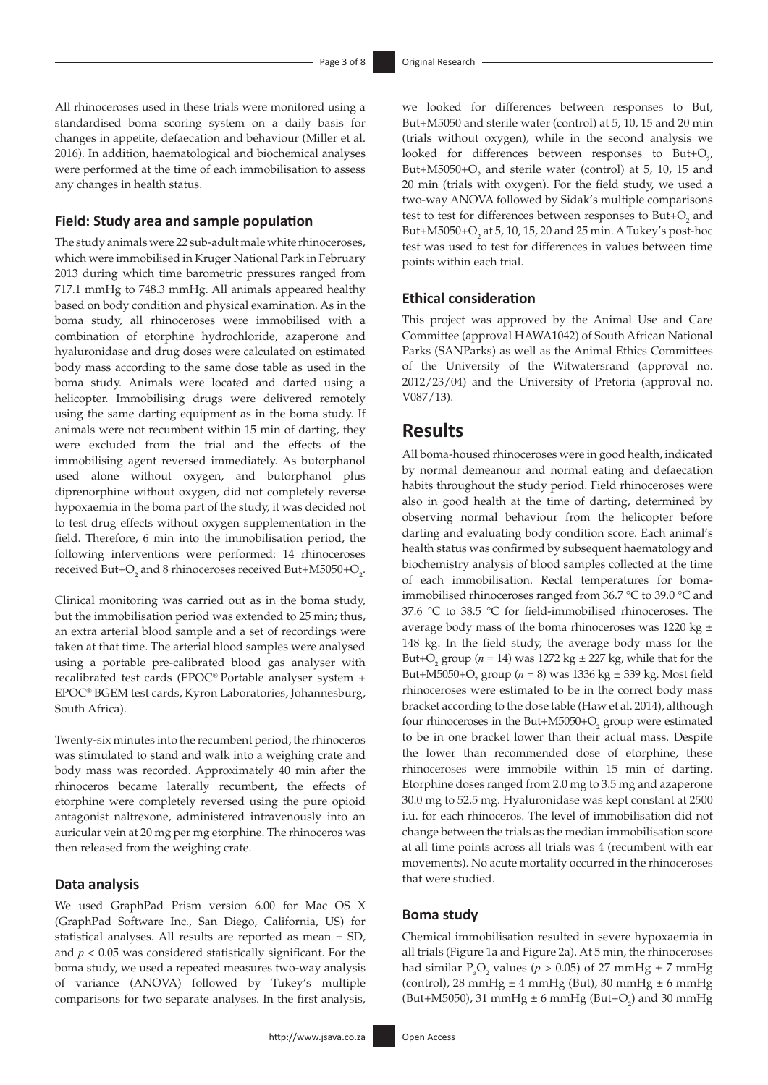All rhinoceroses used in these trials were monitored using a standardised boma scoring system on a daily basis for changes in appetite, defaecation and behaviour (Miller et al. 2016). In addition, haematological and biochemical analyses were performed at the time of each immobilisation to assess any changes in health status.

### **Field: Study area and sample population**

The study animals were 22 sub-adult male white rhinoceroses, which were immobilised in Kruger National Park in February 2013 during which time barometric pressures ranged from 717.1 mmHg to 748.3 mmHg. All animals appeared healthy based on body condition and physical examination. As in the boma study, all rhinoceroses were immobilised with a combination of etorphine hydrochloride, azaperone and hyaluronidase and drug doses were calculated on estimated body mass according to the same dose table as used in the boma study. Animals were located and darted using a helicopter. Immobilising drugs were delivered remotely using the same darting equipment as in the boma study. If animals were not recumbent within 15 min of darting, they were excluded from the trial and the effects of the immobilising agent reversed immediately. As butorphanol used alone without oxygen, and butorphanol plus diprenorphine without oxygen, did not completely reverse hypoxaemia in the boma part of the study, it was decided not to test drug effects without oxygen supplementation in the field. Therefore, 6 min into the immobilisation period, the following interventions were performed: 14 rhinoceroses received But+O<sub>2</sub> and 8 rhinoceroses received But+M5050+O<sub>2</sub>.

Clinical monitoring was carried out as in the boma study, but the immobilisation period was extended to 25 min; thus, an extra arterial blood sample and a set of recordings were taken at that time. The arterial blood samples were analysed using a portable pre-calibrated blood gas analyser with recalibrated test cards (EPOC® Portable analyser system + EPOC® BGEM test cards, Kyron Laboratories, Johannesburg, South Africa).

Twenty-six minutes into the recumbent period, the rhinoceros was stimulated to stand and walk into a weighing crate and body mass was recorded. Approximately 40 min after the rhinoceros became laterally recumbent, the effects of etorphine were completely reversed using the pure opioid antagonist naltrexone, administered intravenously into an auricular vein at 20 mg per mg etorphine. The rhinoceros was then released from the weighing crate.

#### **Data analysis**

We used GraphPad Prism version 6.00 for Mac OS X (GraphPad Software Inc., San Diego, California, US) for statistical analyses. All results are reported as mean ± SD, and *p* < 0.05 was considered statistically significant. For the boma study, we used a repeated measures two-way analysis of variance (ANOVA) followed by Tukey's multiple comparisons for two separate analyses. In the first analysis,

we looked for differences between responses to But, But+M5050 and sterile water (control) at 5, 10, 15 and 20 min (trials without oxygen), while in the second analysis we looked for differences between responses to But+ $O_{2'}$ But+M5050+ $O_2$  and sterile water (control) at 5, 10, 15 and 20 min (trials with oxygen). For the field study, we used a two-way ANOVA followed by Sidak's multiple comparisons test to test for differences between responses to  $\text{But+}O_2$  and But+M5050+ $O_2$  at 5, 10, 15, 20 and 25 min. A Tukey's post-hoc test was used to test for differences in values between time points within each trial.

### **Ethical consideration**

This project was approved by the Animal Use and Care Committee (approval HAWA1042) of South African National Parks (SANParks) as well as the Animal Ethics Committees of the University of the Witwatersrand (approval no. 2012/23/04) and the University of Pretoria (approval no. V087/13).

### **Results**

All boma-housed rhinoceroses were in good health, indicated by normal demeanour and normal eating and defaecation habits throughout the study period. Field rhinoceroses were also in good health at the time of darting, determined by observing normal behaviour from the helicopter before darting and evaluating body condition score. Each animal's health status was confirmed by subsequent haematology and biochemistry analysis of blood samples collected at the time of each immobilisation. Rectal temperatures for bomaimmobilised rhinoceroses ranged from 36.7 °C to 39.0 °C and 37.6 °C to 38.5 °C for field-immobilised rhinoceroses. The average body mass of the boma rhinoceroses was 1220 kg  $\pm$ 148 kg. In the field study, the average body mass for the But+O<sub>2</sub> group ( $n = 14$ ) was 1272 kg  $\pm$  227 kg, while that for the But+M5050+O2 group (*n* = 8) was 1336 kg ± 339 kg. Most field rhinoceroses were estimated to be in the correct body mass bracket according to the dose table (Haw et al. 2014), although four rhinoceroses in the But+M5050+ $O_2$  group were estimated to be in one bracket lower than their actual mass. Despite the lower than recommended dose of etorphine, these rhinoceroses were immobile within 15 min of darting. Etorphine doses ranged from 2.0 mg to 3.5 mg and azaperone 30.0 mg to 52.5 mg. Hyaluronidase was kept constant at 2500 i.u. for each rhinoceros. The level of immobilisation did not change between the trials as the median immobilisation score at all time points across all trials was 4 (recumbent with ear movements). No acute mortality occurred in the rhinoceroses that were studied.

### **Boma study**

Chemical immobilisation resulted in severe hypoxaemia in all trials (Figure 1a and Figure 2a). At 5 min, the rhinoceroses had similar  $P_aO_2$  values ( $p > 0.05$ ) of 27 mmHg  $\pm$  7 mmHg (control), 28 mmHg  $\pm$  4 mmHg (But), 30 mmHg  $\pm$  6 mmHg (But+M5050), 31 mmHg  $\pm$  6 mmHg (But+O<sub>2</sub>) and 30 mmHg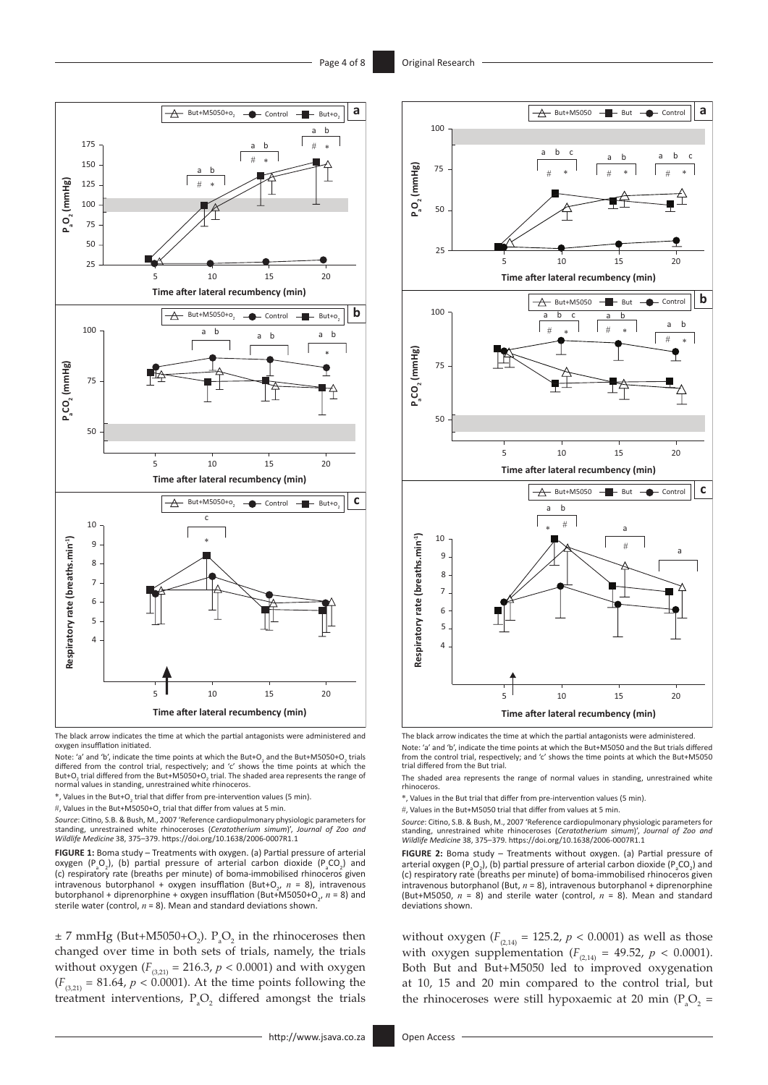



Note: 'a' and 'b', indicate the time points at which the But+O<sub>2</sub> and the But+M5050+O<sub>2</sub> trials differed from the control trial, respectively; and 'c' shows the time points at which the But+O<sub>2</sub> trial differed from the But+M5050+O<sub>2</sub> trial. The shaded area represents the range of<br>normal values in standing, unrestrained white rhinoceros.

 $*$ , Values in the But+O<sub>2</sub> trial that differ from pre-intervention values (5 min).

*Source*: Citino, S.B. & Bush, M., 2007 'Reference cardiopulmonary physiologic parameters for standing, unrestrained white rhinoceroses (*Ceratotherium simum*)', *Journal of Zoo and Wildlife Medicine* 38, 375–379. <https://doi.org/10.1638/2006-0007R1.1>

**FIGURE 1:** Boma study – Treatments with oxygen. (a) Partial pressure of arterial oxygen (P<sub>a</sub>O<sub>2</sub>), (b) partial pressure of arterial carbon dioxide (P<sub>a</sub>CO<sub>2</sub>) and (c) respiratory rate (breaths per minute) of boma-immobilised rhinoceros given intravenous butorphanol + oxygen insufflation (But+O<sub>2</sub>,  $n = 8$ ), intravenous butorphanol + diprenorphine + oxygen insufflation (But+M5050+O<sub>2</sub>, n = 8) and sterile water (control,  $n = 8$ ). Mean and standard deviations shown.

 $\pm$  7 mmHg (But+M5050+O<sub>2</sub>). P<sub>a</sub>O<sub>2</sub> in the rhinoceroses then changed over time in both sets of trials, namely, the trials without oxygen  $(F_{(3,21)} = 216.3, p < 0.0001)$  and with oxygen  $(F_{(3,21)} = 81.64, p < 0.0001)$ . At the time points following the treatment interventions,  $P_aO_2$  differed amongst the trials



The black arrow indicates the time at which the partial antagonists were administered. Note: 'a' and 'b', indicate the time points at which the But+M5050 and the But trials differed from the control trial, respectively; and 'c' shows the time points at which the But+M5050 trial differed from the But trial.

The shaded area represents the range of normal values in standing, unrestrained white rhinoceros.

\*, Values in the But trial that differ from pre-intervention values (5 min).

#, Values in the But+M5050 trial that differ from values at 5 min.

Source: Citino, S.B. & Bush, M., 2007 'Reference cardiopulmonary physiologic parameters for<br>standing, unrestrained white rhinoceroses (Ceratotherium simum)', Journal of Zoo and<br>Wildlife Medicine 38, 375–379. https://doi.or

**FIGURE 2:** Boma study – Treatments without oxygen. (a) Partial pressure of arterial oxygen ( $P_aO_2$ ), (b) partial pressure of arterial carbon dioxide ( $P_aCO_2$ ) and (c) respiratory rate (breaths per minute) of boma-immobilised rhinoceros given intravenous butorphanol (But, *n* = 8), intravenous butorphanol + diprenorphine (But+M5050, *n* = 8) and sterile water (control, *n* = 8). Mean and standard deviations shown.

without oxygen ( $F_{(2,14)} = 125.2$ ,  $p < 0.0001$ ) as well as those with oxygen supplementation  $(F_{(2,14)} = 49.52, p < 0.0001)$ . Both But and But+M5050 led to improved oxygenation at 10, 15 and 20 min compared to the control trial, but the rhinoceroses were still hypoxaemic at 20 min ( $P_aO_2$  =

<sup>#,</sup> Values in the But+M5050+O<sub>2</sub> trial that differ from values at 5 min.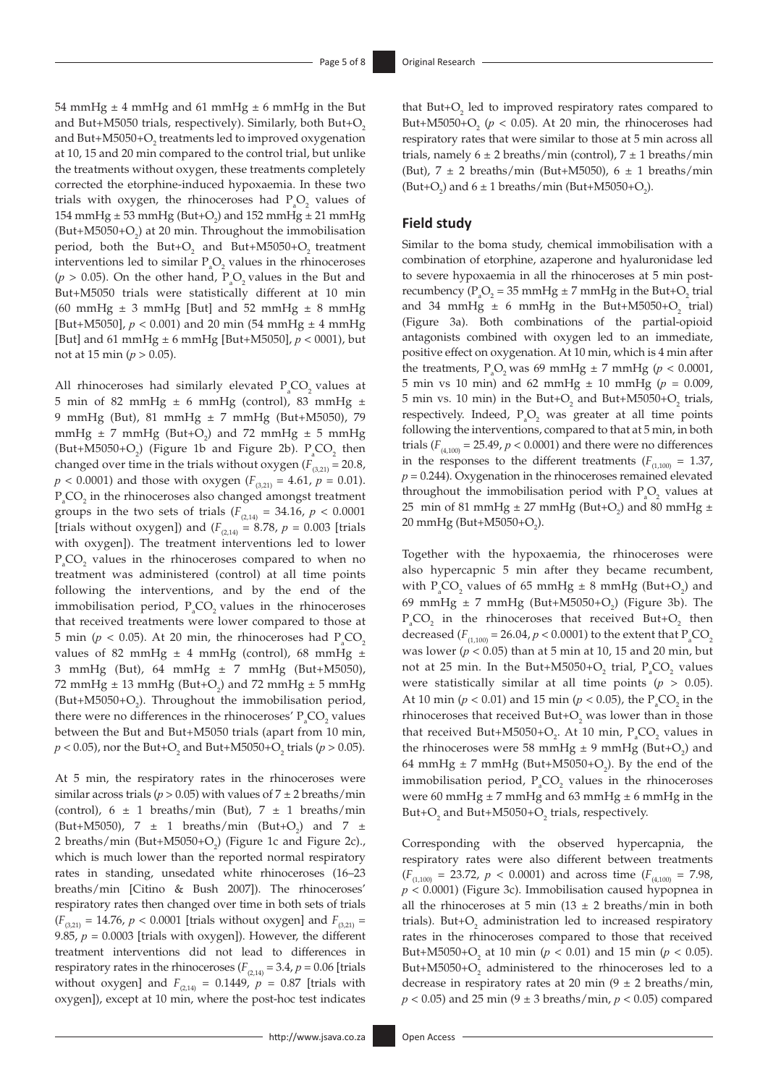54 mmHg  $\pm$  4 mmHg and 61 mmHg  $\pm$  6 mmHg in the But and But+M5050 trials, respectively). Similarly, both But+O<sub>2</sub> and But+M5050+ $\rm O_{2}$  treatments led to improved oxygenation at 10, 15 and 20 min compared to the control trial, but unlike the treatments without oxygen, these treatments completely corrected the etorphine-induced hypoxaemia. In these two trials with oxygen, the rhinoceroses had  $P_aO_2$  values of 154 mmHg  $\pm$  53 mmHg (But+O<sub>2</sub>) and 152 mmHg  $\pm$  21 mmHg (But+M5050+ $O_2$ ) at 20 min. Throughout the immobilisation period, both the But+ $O_2$  and But+M5050+ $O_2$  treatment interventions led to similar  $P_aO_2$  values in the rhinoceroses ( $p > 0.05$ ). On the other hand,  $P_aO_2$  values in the But and But+M5050 trials were statistically different at 10 min (60 mmHg  $\pm$  3 mmHg [But] and 52 mmHg  $\pm$  8 mmHg [But+M5050],  $p < 0.001$ ) and 20 min (54 mmHg  $\pm$  4 mmHg [But] and 61 mmHg ± 6 mmHg [But+M5050], *p* < 0001), but not at 15 min ( $p > 0.05$ ).

All rhinoceroses had similarly elevated  $P_aCO_2$  values at 5 min of 82 mmHg  $\pm$  6 mmHg (control), 83 mmHg  $\pm$ 9 mmHg (But), 81 mmHg ± 7 mmHg (But+M5050), 79 mmHg  $\pm$  7 mmHg (But+O<sub>2</sub>) and 72 mmHg  $\pm$  5 mmHg (But+M5050+O<sub>2</sub>) (Figure 1b and Figure 2b).  $P_aCO_2$  then changed over time in the trials without oxygen  $(F_{(3,21)} = 20.8$ ,  $p$  < 0.0001) and those with oxygen ( $F_{(3,21)} = 4.61$ ,  $p = 0.01$ ).  $P_{a}CO_{2}$  in the rhinoceroses also changed amongst treatment groups in the two sets of trials ( $F_{(2,14)} = 34.16$ ,  $p < 0.0001$ [trials without oxygen]) and  $(F_{(2,14)} = 8.78, p = 0.003$  [trials with oxygen]). The treatment interventions led to lower  $P_{a}CO_{2}$  values in the rhinoceroses compared to when no treatment was administered (control) at all time points following the interventions, and by the end of the immobilisation period,  $P_{a}CO_{2}$  values in the rhinoceroses that received treatments were lower compared to those at 5 min ( $p < 0.05$ ). At 20 min, the rhinoceroses had  $P_aCO_2$ values of 82 mmHg  $\pm$  4 mmHg (control), 68 mmHg  $\pm$ 3 mmHg (But), 64 mmHg  $\pm$  7 mmHg (But+M5050), 72 mmHg  $\pm$  13 mmHg (But+O<sub>2</sub>) and 72 mmHg  $\pm$  5 mmHg (But+M5050+ $O_2$ ). Throughout the immobilisation period, there were no differences in the rhinoceroses'  $P_aCO_2$  values between the But and But+M5050 trials (apart from 10 min,  $p < 0.05$ ), nor the But+O<sub>2</sub> and But+M5050+O<sub>2</sub> trials ( $p > 0.05$ ).

At 5 min, the respiratory rates in the rhinoceroses were similar across trials ( $p > 0.05$ ) with values of  $7 \pm 2$  breaths/min (control),  $6 \pm 1$  breaths/min (But),  $7 \pm 1$  breaths/min (But+M5050),  $7 \pm 1$  breaths/min (But+O<sub>2</sub>) and  $7 \pm 1$ 2 breaths/min (But+M5050+ $O_2$ ) (Figure 1c and Figure 2c)., which is much lower than the reported normal respiratory rates in standing, unsedated white rhinoceroses (16–23 breaths/min [Citino & Bush 2007]). The rhinoceroses' respiratory rates then changed over time in both sets of trials  $(F_{(3,21)} = 14.76, p < 0.0001$  [trials without oxygen] and  $F_{(3,21)} =$ 9.85, *p* = 0.0003 [trials with oxygen]). However, the different treatment interventions did not lead to differences in respiratory rates in the rhinoceroses ( $F_{(2,14)} = 3.4$ ,  $p = 0.06$  [trials without oxygen] and  $F_{(2,14)} = 0.1449, p = 0.87$  [trials with oxygen]), except at 10 min, where the post-hoc test indicates

that  $But+O<sub>2</sub>$  led to improved respiratory rates compared to But+M5050+ $O_2$  ( $p < 0.05$ ). At 20 min, the rhinoceroses had respiratory rates that were similar to those at 5 min across all trials, namely  $6 \pm 2$  breaths/min (control),  $7 \pm 1$  breaths/min (But),  $7 \pm 2$  breaths/min (But+M5050),  $6 \pm 1$  breaths/min (But+O<sub>2</sub>) and  $6 \pm 1$  breaths/min (But+M5050+O<sub>2</sub>).

### **Field study**

Similar to the boma study, chemical immobilisation with a combination of etorphine, azaperone and hyaluronidase led to severe hypoxaemia in all the rhinoceroses at 5 min postrecumbency ( $P_aO_2$  = 35 mmHg  $\pm$  7 mmHg in the But+O<sub>2</sub> trial and 34 mmHg  $\pm$  6 mmHg in the But+M5050+O<sub>2</sub> trial) (Figure 3a). Both combinations of the partial-opioid antagonists combined with oxygen led to an immediate, positive effect on oxygenation. At 10 min, which is 4 min after the treatments,  $P_aO_2$  was 69 mmHg  $\pm$  7 mmHg ( $p$  < 0.0001, 5 min vs 10 min) and 62 mmHg ± 10 mmHg (*p* = 0.009, 5 min vs. 10 min) in the But+ $O_2$  and But+M5050+ $O_2$  trials, respectively. Indeed,  $P_aO_2$  was greater at all time points following the interventions, compared to that at 5 min, in both trials  $(F_{(4,100)} = 25.49, p < 0.0001)$  and there were no differences in the responses to the different treatments ( $F_{(1,100)} = 1.37$ ,  $p = 0.244$ ). Oxygenation in the rhinoceroses remained elevated throughout the immobilisation period with  $P_aO_2$  values at 25 min of 81 mmHg  $\pm$  27 mmHg (But+O<sub>2</sub>) and 80 mmHg  $\pm$  $20 \text{ mmHg}$  (But+M5050+O<sub>2</sub>).

Together with the hypoxaemia, the rhinoceroses were also hypercapnic 5 min after they became recumbent, with  $P_aCO_2$  values of 65 mmHg  $\pm$  8 mmHg (But+O<sub>2</sub>) and 69 mmHg  $\pm$  7 mmHg (But+M5050+O<sub>2</sub>) (Figure 3b). The  $P_{a}CO_{2}$  in the rhinoceroses that received But+O<sub>2</sub> then decreased  $(F_{(1,100)} = 26.04, p < 0.0001)$  to the extent that  $P_{a}CO_{2}$ was lower (*p* < 0.05) than at 5 min at 10, 15 and 20 min, but not at 25 min. In the But+M5050+ $O_2$  trial,  $P_aCO_2$  values were statistically similar at all time points  $(p > 0.05)$ . At 10 min ( $p < 0.01$ ) and 15 min ( $p < 0.05$ ), the P<sub>a</sub>CO<sub>2</sub> in the rhinoceroses that received But+ $O_2$  was lower than in those that received But+M5050+ $O_2$ . At 10 min,  $P_aCO_2$  values in the rhinoceroses were 58 mmHg  $\pm$  9 mmHg (But+O<sub>2</sub>) and 64 mmHg  $\pm$  7 mmHg (But+M5050+O<sub>2</sub>). By the end of the immobilisation period,  $P_aCO_2$  values in the rhinoceroses were 60 mmHg  $\pm$  7 mmHg and 63 mmHg  $\pm$  6 mmHg in the But+ $O_2$  and But+M5050+ $O_2$  trials, respectively.

Corresponding with the observed hypercapnia, the respiratory rates were also different between treatments  $(F_{(1,100)} = 23.72, p < 0.0001)$  and across time  $(F_{(4,100)} = 7.98,$ *p* < 0.0001) (Figure 3c). Immobilisation caused hypopnea in all the rhinoceroses at 5 min (13  $\pm$  2 breaths/min in both trials). But+ $O_2$  administration led to increased respiratory rates in the rhinoceroses compared to those that received But+M5050+O<sub>2</sub> at 10 min ( $p < 0.01$ ) and 15 min ( $p < 0.05$ ). But+M5050+ $O_2$  administered to the rhinoceroses led to a decrease in respiratory rates at 20 min  $(9 \pm 2 \text{ breaths/min},$ *p* < 0.05) and 25 min (9 ± 3 breaths/min, *p* < 0.05) compared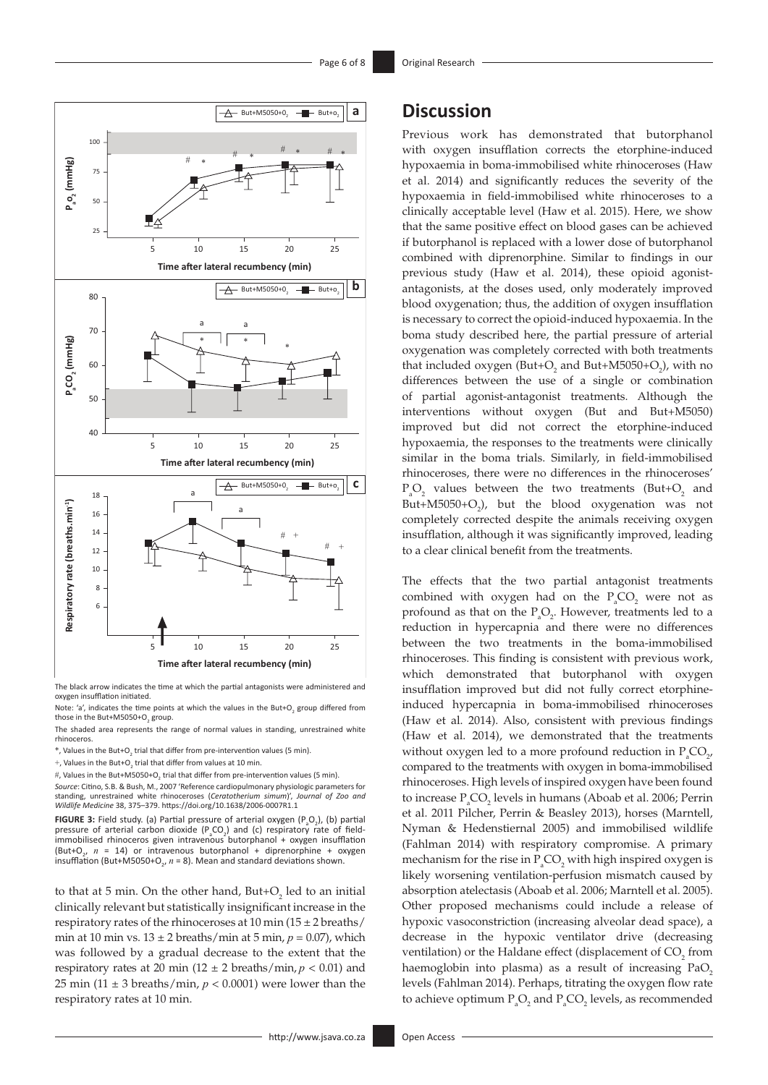

The black arrow indicates the time at which the partial antagonists were administered and oxygen insufflation initiated.

The shaded area represents the range of normal values in standing, unrestrained white rhinoceros.

 $*$ , Values in the But+O<sub>2</sub> trial that differ from pre-intervention values (5 min).

+, Values in the But+O<sub>2</sub> trial that differ from values at 10 min.

#, Values in the But+M5050+O<sub>2</sub> trial that differ from pre-intervention values (5 min).

*Source*: Citino, S.B. & Bush, M., 2007 'Reference cardiopulmonary physiologic parameters for standing, unrestrained white rhinoceroses (*Ceratotherium simum*)', *Journal of Zoo and Wildlife Medicine* 38, 375–379.<https://doi.org/10.1638/2006-0007R1.1>

**FIGURE 3:** Field study. (a) Partial pressure of arterial oxygen (P<sub>a</sub>O<sub>2</sub>), (b) partial pressure of arterial carbon dioxide  $(P_aCO_2)$  and (c) respiratory rate of fieldimmobilised rhinoceros given intravenous butorphanol + oxygen insufflation (But+O<sub>2</sub>,  $n = 14$ ) or intravenous butorphanol + diprenorphine + oxygen insufflation (But+M5050+O<sub>2</sub>,  $n = 8$ ). Mean and standard deviations shown.

to that at 5 min. On the other hand, But+ $O_2$  led to an initial clinically relevant but statistically insignificant increase in the respiratory rates of the rhinoceroses at  $10 \text{ min} (15 \pm 2 \text{ breaths})$ min at 10 min vs.  $13 \pm 2$  breaths/min at 5 min,  $p = 0.07$ ), which was followed by a gradual decrease to the extent that the respiratory rates at 20 min ( $12 \pm 2$  breaths/min,  $p < 0.01$ ) and 25 min (11  $\pm$  3 breaths/min,  $p < 0.0001$ ) were lower than the respiratory rates at 10 min.

## **Discussion**

Previous work has demonstrated that butorphanol with oxygen insufflation corrects the etorphine-induced hypoxaemia in boma-immobilised white rhinoceroses (Haw et al. 2014) and significantly reduces the severity of the hypoxaemia in field-immobilised white rhinoceroses to a clinically acceptable level (Haw et al. 2015). Here, we show that the same positive effect on blood gases can be achieved if butorphanol is replaced with a lower dose of butorphanol combined with diprenorphine. Similar to findings in our previous study (Haw et al. 2014), these opioid agonistantagonists, at the doses used, only moderately improved blood oxygenation; thus, the addition of oxygen insufflation is necessary to correct the opioid-induced hypoxaemia. In the boma study described here, the partial pressure of arterial oxygenation was completely corrected with both treatments that included oxygen (But+ $O_2$  and But+M5050+ $O_2$ ), with no differences between the use of a single or combination of partial agonist-antagonist treatments. Although the interventions without oxygen (But and But+M5050) improved but did not correct the etorphine-induced hypoxaemia, the responses to the treatments were clinically similar in the boma trials. Similarly, in field-immobilised rhinoceroses, there were no differences in the rhinoceroses'  $P_aO_2$  values between the two treatments (But+O<sub>2</sub> and But+M5050+ $O_2$ ), but the blood oxygenation was not completely corrected despite the animals receiving oxygen insufflation, although it was significantly improved, leading to a clear clinical benefit from the treatments.

The effects that the two partial antagonist treatments combined with oxygen had on the  $P_aCO_2$  were not as profound as that on the  $P_aO_2$ . However, treatments led to a reduction in hypercapnia and there were no differences between the two treatments in the boma-immobilised rhinoceroses. This finding is consistent with previous work, which demonstrated that butorphanol with oxygen insufflation improved but did not fully correct etorphineinduced hypercapnia in boma-immobilised rhinoceroses (Haw et al. 2014). Also, consistent with previous findings (Haw et al. 2014), we demonstrated that the treatments without oxygen led to a more profound reduction in  $P_aCO_{2'}$ compared to the treatments with oxygen in boma-immobilised rhinoceroses. High levels of inspired oxygen have been found to increase  $P_aCO_2$  levels in humans (Aboab et al. 2006; Perrin et al. 2011 Pilcher, Perrin & Beasley 2013), horses (Marntell, Nyman & Hedenstiernal 2005) and immobilised wildlife (Fahlman 2014) with respiratory compromise. A primary mechanism for the rise in  $P_aCO_2$  with high inspired oxygen is likely worsening ventilation-perfusion mismatch caused by absorption atelectasis (Aboab et al. 2006; Marntell et al. 2005). Other proposed mechanisms could include a release of hypoxic vasoconstriction (increasing alveolar dead space), a decrease in the hypoxic ventilator drive (decreasing ventilation) or the Haldane effect (displacement of  $CO<sub>2</sub>$  from haemoglobin into plasma) as a result of increasing  $PaO<sub>2</sub>$ levels (Fahlman 2014). Perhaps, titrating the oxygen flow rate to achieve optimum  $P_aO_2$  and  $P_aCO_2$  levels, as recommended

Note: 'a', indicates the time points at which the values in the But+O<sub>2</sub> group differed from those in the But+M5050+O $_{\rm 2}$  group.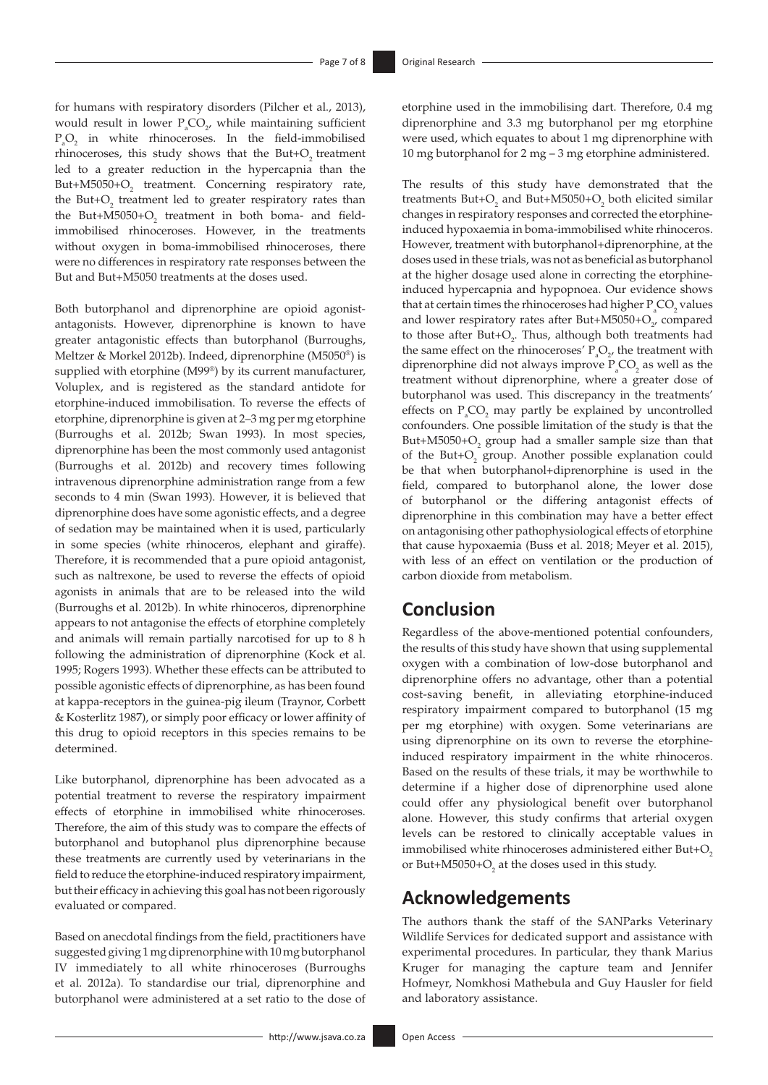for humans with respiratory disorders (Pilcher et al., 2013), would result in lower  $P_aCO_{2'}$  while maintaining sufficient  $P_aO_2$  in white rhinoceroses. In the field-immobilised rhinoceroses, this study shows that the But+O<sub>2</sub> treatment led to a greater reduction in the hypercapnia than the But+M5050+O<sub>2</sub> treatment. Concerning respiratory rate, the But+ $O_2$  treatment led to greater respiratory rates than the But+M5050+ $O_2$  treatment in both boma- and fieldimmobilised rhinoceroses. However, in the treatments without oxygen in boma-immobilised rhinoceroses, there were no differences in respiratory rate responses between the But and But+M5050 treatments at the doses used.

Both butorphanol and diprenorphine are opioid agonistantagonists. However, diprenorphine is known to have greater antagonistic effects than butorphanol (Burroughs, Meltzer & Morkel 2012b). Indeed, diprenorphine (M5050®) is supplied with etorphine (M99®) by its current manufacturer, Voluplex, and is registered as the standard antidote for etorphine-induced immobilisation. To reverse the effects of etorphine, diprenorphine is given at 2–3 mg per mg etorphine (Burroughs et al. 2012b; Swan 1993). In most species, diprenorphine has been the most commonly used antagonist (Burroughs et al. 2012b) and recovery times following intravenous diprenorphine administration range from a few seconds to 4 min (Swan 1993). However, it is believed that diprenorphine does have some agonistic effects, and a degree of sedation may be maintained when it is used, particularly in some species (white rhinoceros, elephant and giraffe). Therefore, it is recommended that a pure opioid antagonist, such as naltrexone, be used to reverse the effects of opioid agonists in animals that are to be released into the wild (Burroughs et al. 2012b). In white rhinoceros, diprenorphine appears to not antagonise the effects of etorphine completely and animals will remain partially narcotised for up to 8 h following the administration of diprenorphine (Kock et al. 1995; Rogers 1993). Whether these effects can be attributed to possible agonistic effects of diprenorphine, as has been found at kappa-receptors in the guinea-pig ileum (Traynor, Corbett & Kosterlitz 1987), or simply poor efficacy or lower affinity of this drug to opioid receptors in this species remains to be determined.

Like butorphanol, diprenorphine has been advocated as a potential treatment to reverse the respiratory impairment effects of etorphine in immobilised white rhinoceroses. Therefore, the aim of this study was to compare the effects of butorphanol and butophanol plus diprenorphine because these treatments are currently used by veterinarians in the field to reduce the etorphine-induced respiratory impairment, but their efficacy in achieving this goal has not been rigorously evaluated or compared.

Based on anecdotal findings from the field, practitioners have suggested giving 1 mg diprenorphine with 10 mg butorphanol IV immediately to all white rhinoceroses (Burroughs et al. 2012a). To standardise our trial, diprenorphine and butorphanol were administered at a set ratio to the dose of The results of this study have demonstrated that the treatments  $\text{But+O}_2$  and  $\text{But+M5050+O}_2$  both elicited similar changes in respiratory responses and corrected the etorphineinduced hypoxaemia in boma-immobilised white rhinoceros. However, treatment with butorphanol+diprenorphine, at the doses used in these trials, was not as beneficial as butorphanol at the higher dosage used alone in correcting the etorphineinduced hypercapnia and hypopnoea. Our evidence shows that at certain times the rhinoceroses had higher  $P_aCO_2$  values and lower respiratory rates after But+M5050+ $O_{2'}$  compared to those after  $But+O_2$ . Thus, although both treatments had the same effect on the rhinoceroses'  $P_aO_2$ , the treatment with diprenorphine did not always improve  $P_aCO_2$  as well as the treatment without diprenorphine, where a greater dose of butorphanol was used. This discrepancy in the treatments' effects on  $P_aCO_2$  may partly be explained by uncontrolled confounders. One possible limitation of the study is that the But+M5050+ $O_2$  group had a smaller sample size than that of the But+O<sub>2</sub> group. Another possible explanation could be that when butorphanol+diprenorphine is used in the field, compared to butorphanol alone, the lower dose of butorphanol or the differing antagonist effects of diprenorphine in this combination may have a better effect on antagonising other pathophysiological effects of etorphine that cause hypoxaemia (Buss et al. 2018; Meyer et al. 2015), with less of an effect on ventilation or the production of carbon dioxide from metabolism.

# **Conclusion**

Regardless of the above-mentioned potential confounders, the results of this study have shown that using supplemental oxygen with a combination of low-dose butorphanol and diprenorphine offers no advantage, other than a potential cost-saving benefit, in alleviating etorphine-induced respiratory impairment compared to butorphanol (15 mg per mg etorphine) with oxygen. Some veterinarians are using diprenorphine on its own to reverse the etorphineinduced respiratory impairment in the white rhinoceros. Based on the results of these trials, it may be worthwhile to determine if a higher dose of diprenorphine used alone could offer any physiological benefit over butorphanol alone. However, this study confirms that arterial oxygen levels can be restored to clinically acceptable values in immobilised white rhinoceroses administered either But+ $O<sub>2</sub>$ or But+M5050+ $O_2$  at the doses used in this study.

# **Acknowledgements**

The authors thank the staff of the SANParks Veterinary Wildlife Services for dedicated support and assistance with experimental procedures. In particular, they thank Marius Kruger for managing the capture team and Jennifer Hofmeyr, Nomkhosi Mathebula and Guy Hausler for field and laboratory assistance.